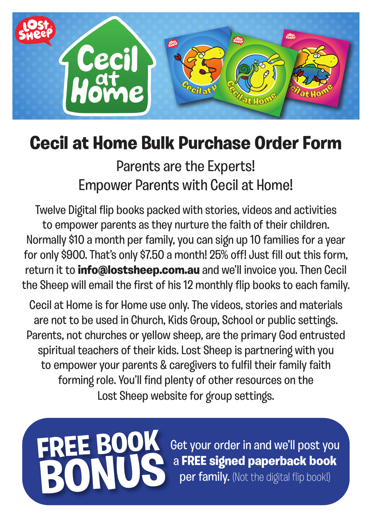

## **Cecil at Home Bulk Purchase Order Form**

Parents are the Experts! Empower Parents with Cecil at Home!

Twelve Digital flip books packed with stories, videos and activities to empower parents as they nurture the faith of their children. Normally \$10 a month per family, you can sign up 10 families for a year for only \$900. That's only \$7.50 a month! 25% off! Just fill out this form, return it to **info@lostsheep.com.au** and we'll invoice you. Then Cecil the Sheep will email the first of his 12 monthly flip books to each family.

Cecil at Home is for Home use only. The videos, stories and materials are not to be used in Church, Kids Group, School or public settings. Parents, not churches or yellow sheep, are the primary God entrusted spiritual teachers of their kids. Lost Sheep is partnering with you to empower your parents & caregivers to fulfil their family faith forming role. You'll find plenty of other resources on the Lost Sheep website for group settings.



Get your order in and we'll post you a **FREE signed paperback book** per family. (Not the digital flip book!)